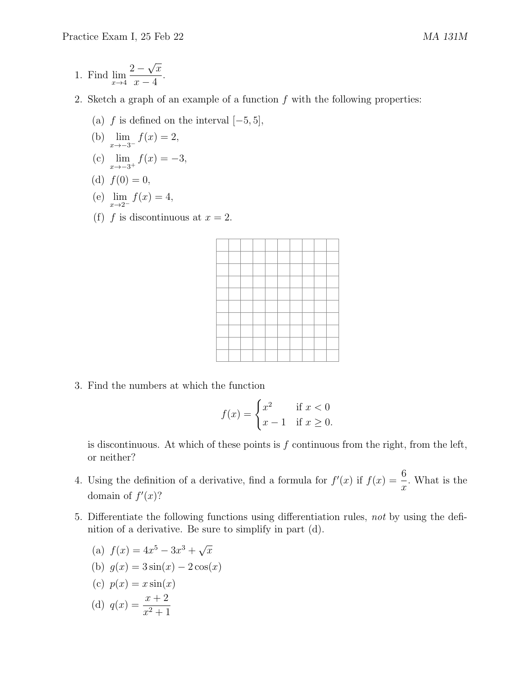- 1. Find  $\lim_{x\to 4}$  $2 -$ √  $\overline{x}$  $x - 4$ .
- 2. Sketch a graph of an example of a function  $f$  with the following properties:
	- (a) f is defined on the interval  $[-5, 5]$ ,
	- (b)  $\lim_{x \to -3^{-}} f(x) = 2$ ,
	- (c)  $\lim_{x \to -3^+} f(x) = -3$ ,
	- (d)  $f(0) = 0$ ,

(e) 
$$
\lim_{x \to 2^{-}} f(x) = 4
$$
,

(f) f is discontinuous at  $x = 2$ .

3. Find the numbers at which the function

$$
f(x) = \begin{cases} x^2 & \text{if } x < 0\\ x - 1 & \text{if } x \ge 0. \end{cases}
$$

is discontinuous. At which of these points is  $f$  continuous from the right, from the left, or neither?

- 4. Using the definition of a derivative, find a formula for  $f'(x)$  if  $f(x) = \frac{6}{x}$  $\boldsymbol{x}$ . What is the domain of  $f'(x)$ ?
- 5. Differentiate the following functions using differentiation rules, not by using the definition of a derivative. Be sure to simplify in part (d).
	- (a)  $f(x) = 4x^5 3x^3 + \sqrt{ }$  $\overline{x}$
	- (b)  $g(x) = 3\sin(x) 2\cos(x)$
	- (c)  $p(x) = x \sin(x)$

(d) 
$$
q(x) = \frac{x+2}{x^2+1}
$$